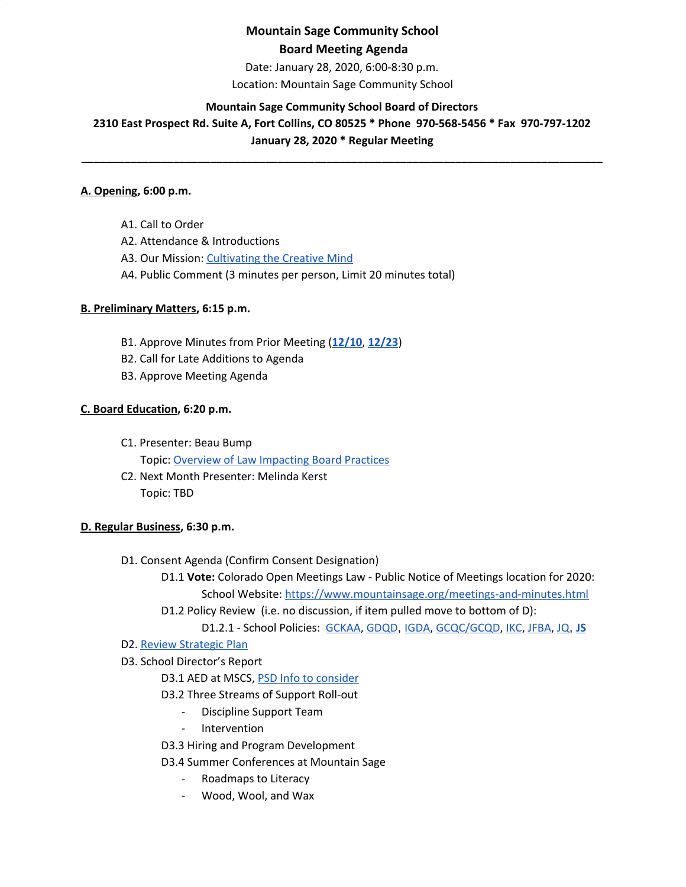# **Mountain Sage Community School Board Meeting Agenda**

Date: January 28, 2020, 6:00-8:30 p.m. Location: Mountain Sage Community School

## **Mountain Sage Community School Board of Directors**

**2310 East Prospect Rd. Suite A, Fort Collins, CO 80525 \* Phone 970-568-5456 \* Fax 970-797-1202 January 28, 2020 \* Regular Meeting**

**\_\_\_\_\_\_\_\_\_\_\_\_\_\_\_\_\_\_\_\_\_\_\_\_\_\_\_\_\_\_\_\_\_\_\_\_\_\_\_\_\_\_\_\_\_\_\_\_\_\_\_\_\_\_\_\_\_\_\_\_\_\_\_\_\_\_\_\_\_\_\_\_\_\_\_\_\_\_\_\_\_\_\_\_\_**

### **A. Opening, 6:00 p.m.**

A1. Call to Order A2. Attendance & Introductions A3. Our Mission: [Cultivating](http://www.mountainsage.org/mission-and-vision.html) the Creative Mind

A4. Public Comment (3 minutes per person, Limit 20 minutes total)

### **B. Preliminary Matters, 6:15 p.m.**

- B1. Approve Minutes from Prior Meeting (**[12/10](https://docs.google.com/document/d/1mSKV_C95L-w7Sq0oUQoMwmWdI2evlxIUxIqCDddfuWs/edit?usp=sharing)**, **[12/23](https://docs.google.com/document/d/1Eg5TjvORY-b3QfjkSku2PfVO7tQwTiiKPVw1M6rJ_2g/edit?usp=sharing)**)
- B2. Call for Late Additions to Agenda
- B3. Approve Meeting Agenda

### **C. Board Education, 6:20 p.m.**

- C1. Presenter: Beau Bump
	- Topic: Overview of Law [Impacting](https://drive.google.com/drive/u/0/folders/16oZE3yuYISRbWtsSKD1oPD1XrST5lIoj) Board Practices
- C2. Next Month Presenter: Melinda Kerst Topic: TBD

### **D. Regular Business, 6:30 p.m.**

- D1. Consent Agenda (Confirm Consent Designation)
	- D1.1 **Vote:** Colorado Open Meetings Law Public Notice of Meetings location for 2020: School Website: <https://www.mountainsage.org/meetings-and-minutes.html>
	- D1.2 Policy Review (i.e. no discussion, if item pulled move to bottom of D):
		- D1.2.1 School Policies: [GCKAA](https://docs.google.com/document/d/1Merv1El9rhyfwYMXGs8uSGLrXBBh4bO79vgPTclIKW4/edit?usp=sharing), [GDQD](https://docs.google.com/document/d/1Ewwb0RIPZasF4ZmW7YUI-MQyvjgK7_aGBF7_874vNm8/edit?usp=sharing), [IGDA](https://docs.google.com/document/d/1ONFLsWwDw5QlA0qGKI4D_B0HvphriPoS0YBWOq-vUs0/edit?usp=sharing), [GCQC/GCQD](https://docs.google.com/document/d/1D6Iny5P4TJOC1MrB8k0ZQvLsrddkCSKXYFmPRUw2HMo/edit), [IKC](https://drive.google.com/open?id=1cgaogQY3tVvadtDpqK5bu3_PBjTILUTrKFvVYDPN50o), [JFBA](https://drive.google.com/open?id=1m83NJgTOFSnZcpq29US3wrK9G-vkSo7I16H8EIPojG0), [JQ](https://drive.google.com/open?id=115IW9s0E6ypNZh50sUOOMpCKQFH_zLlkyJ42R2nRlVM), **[JS](https://docs.google.com/document/d/1rf5GBWs-YOgZhMLOzJxPMH3JRSSvb52K1Sytz0KNBiU/edit?usp=sharing)**

### D2. Review [Strategic](https://drive.google.com/file/d/1bIEAL8S8NnDx9PPJRR79h1dLsXFMCh-t/view?usp=sharing) Plan

D3. School Director's Report

## D3.1 AED at MSCS, PSD Info to [consider](https://www.psdschools.org/schools/safety-and-emergencies/automated-external-defibrillator-program)

- D3.2 Three Streams of Support Roll-out
	- Discipline Support Team
	- Intervention
- D3.3 Hiring and Program Development
- D3.4 Summer Conferences at Mountain Sage
	- Roadmaps to Literacy
	- Wood, Wool, and Wax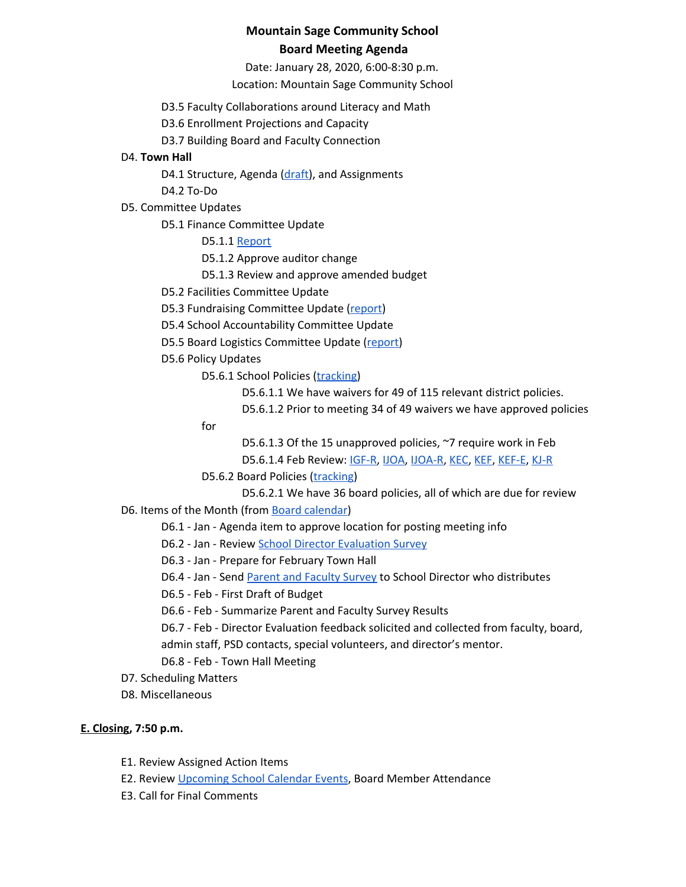## **Mountain Sage Community School Board Meeting Agenda**

Date: January 28, 2020, 6:00-8:30 p.m. Location: Mountain Sage Community School

D3.5 Faculty Collaborations around Literacy and Math

D3.6 Enrollment Projections and Capacity

D3.7 Building Board and Faculty Connection

## D4. **Town Hall**

D4.1 Structure, Agenda ([draft\)](https://docs.google.com/document/d/1txpmSYeDUIMARMYIq1DU11hiwSRP5Nvq-JrG_fcpVDA), and Assignments

D4.2 To-Do

D5. Committee Updates

D5.1 Finance Committee Update

D5.1.1 [Report](https://docs.google.com/document/d/1BH2gui-yhPa9dlxv4r42EkYSM6MhO5gY3scPtjySqNk/edit?usp=sharing)

D5.1.2 Approve auditor change

D5.1.3 Review and approve amended budget

D5.2 Facilities Committee Update

D5.3 Fundraising Committee Update ([report](https://docs.google.com/document/d/1o4aqbvQEmr1NMfxZGxmbVEf2LB1bHlyG521m0yUDzmk))

D5.4 School Accountability Committee Update

D5.5 Board Logistics Committee Update ([report](https://docs.google.com/document/d/1yGt0-lukxC8euaxLmAArjXFIYBOvNobyNWfjfHgr3IU))

D5.6 Policy Updates

D5.6.1 School Policies ([tracking\)](https://docs.google.com/spreadsheets/d/1H-Pb0IsFzsD00b_IjooQ6ps1HAVPmEkbRLxfF3LdDHg)

D5.6.1.1 We have waivers for 49 of 115 relevant district policies.

D5.6.1.2 Prior to meeting 34 of 49 waivers we have approved policies

for

D5.6.1.3 Of the 15 unapproved policies, ~7 require work in Feb

D5.6.1.4 Feb Review: [IGF-R,](https://drive.google.com/open?id=1miaI655qSVx0mkoge_Ogf0wfQe_WHysQOHWy3E8vP_4) [IJOA,](https://drive.google.com/open?id=127iMJeasFSKC9cgptf53Po-Lt65l7qPxlFaFTCDx8Bc) [IJOA-R](https://drive.google.com/open?id=10D8cL9gSGsZ4qw0McfOHYMYGB72Y2tjHtReRjqjzPfw), [KEC](https://drive.google.com/open?id=108m23bf4wN-nGySmWFhaqPyzr6OifhWuoCBYjYqfRoE), [KEF,](https://drive.google.com/open?id=1PkGD_XBOAP-jL2JqiAmeD62EL9Bty99a5dJvoddx_ho) [KEF-E,](https://drive.google.com/open?id=1gyWLSVji-NgBz--ucR7Yg7-mEroi6UyBq1-j4_SS3as) [KJ-R](https://docs.google.com/document/d/1Y4ZRTfhnfaBxuilXfk0sCEiIzcjzBLQFw72AJVi7ZmQ)

D5.6.2 Board Policies ([tracking\)](https://docs.google.com/spreadsheets/d/1REGjOGNbAVcV5lQqxl_OhBqLE3HkWbAJavuquqDhrEU)

D5.6.2.1 We have 36 board policies, all of which are due for review

D6. Items of the Month (from Board [calendar](https://docs.google.com/document/d/12S6s-qevYMsnj8Cr2yw6uMO7S7hL3gz2oKvXZk5ZndQ/edit?usp=sharing))

D6.1 - Jan - Agenda item to approve location for posting meeting info

- D6.2 Jan Review School Director [Evaluation](https://docs.google.com/forms/d/e/1FAIpQLSfFLB0pgFtyBHiWccYxmj2umU2gOFVyraMOwBteKAV3WC4Qdw/viewform) Survey
- D6.3 Jan Prepare for February Town Hall

D6.4 - Jan - Send Parent and [Faculty](https://docs.google.com/document/d/1iyLxyFU3synch9aDkYP7qKanJZlTUFXJHwr5PyqLBbY) Survey to School Director who distributes

D6.5 - Feb - First Draft of Budget

D6.6 - Feb - Summarize Parent and Faculty Survey Results

D6.7 - Feb - Director Evaluation feedback solicited and collected from faculty, board,

admin staff, PSD contacts, special volunteers, and director's mentor.

## D6.8 - Feb - Town Hall Meeting

- D7. Scheduling Matters
- D8. Miscellaneous

## **E. Closing, 7:50 p.m.**

- E1. Review Assigned Action Items
- E2. Review [Upcoming](https://www.mountainsage.org/calendar.html) School Calendar Events, Board Member Attendance
- E3. Call for Final Comments